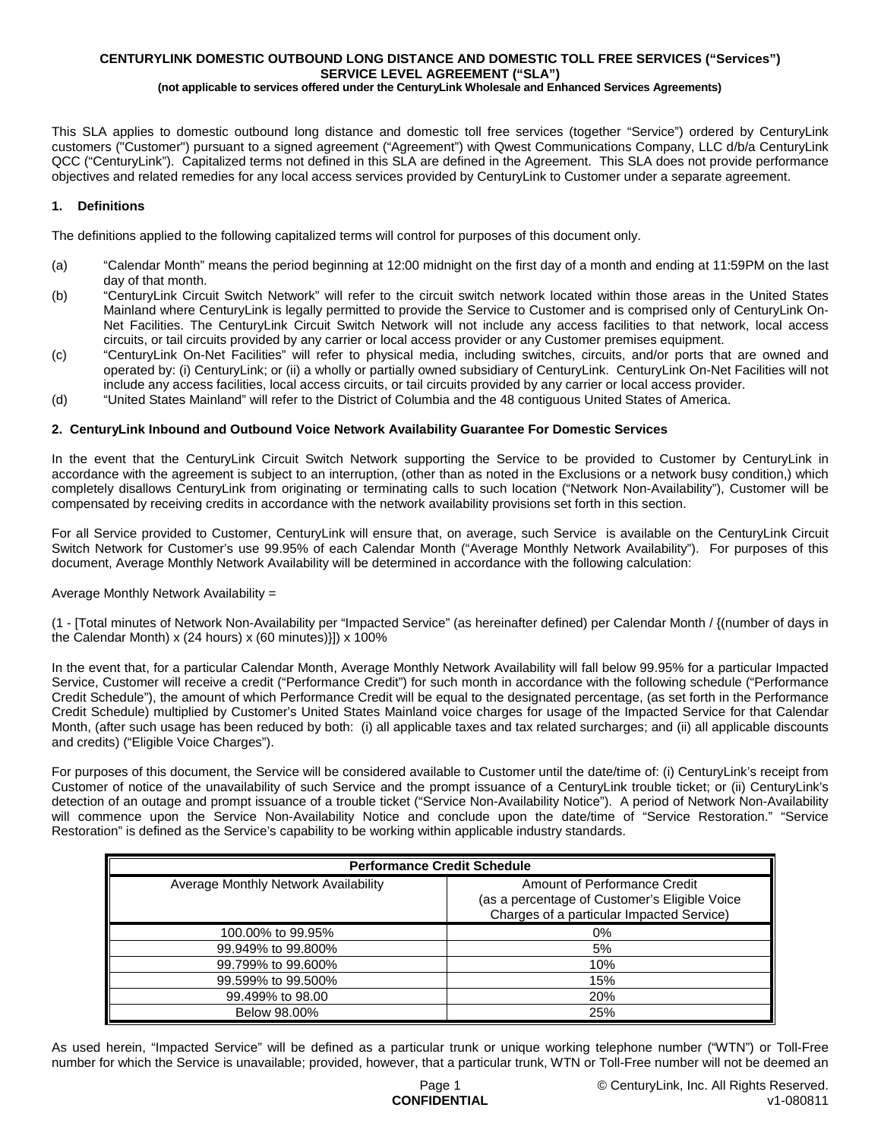# **CENTURYLINK DOMESTIC OUTBOUND LONG DISTANCE AND DOMESTIC TOLL FREE SERVICES ("Services") SERVICE LEVEL AGREEMENT ("SLA")**

**(not applicable to services offered under the CenturyLink Wholesale and Enhanced Services Agreements)**

This SLA applies to domestic outbound long distance and domestic toll free services (together "Service") ordered by CenturyLink customers ("Customer") pursuant to a signed agreement ("Agreement") with Qwest Communications Company, LLC d/b/a CenturyLink QCC ("CenturyLink"). Capitalized terms not defined in this SLA are defined in the Agreement. This SLA does not provide performance objectives and related remedies for any local access services provided by CenturyLink to Customer under a separate agreement.

### **1. Definitions**

The definitions applied to the following capitalized terms will control for purposes of this document only.

- (a) "Calendar Month" means the period beginning at 12:00 midnight on the first day of a month and ending at 11:59PM on the last day of that month.
- (b) "CenturyLink Circuit Switch Network" will refer to the circuit switch network located within those areas in the United States Mainland where CenturyLink is legally permitted to provide the Service to Customer and is comprised only of CenturyLink On-Net Facilities. The CenturyLink Circuit Switch Network will not include any access facilities to that network, local access circuits, or tail circuits provided by any carrier or local access provider or any Customer premises equipment.
- (c) "CenturyLink On-Net Facilities" will refer to physical media, including switches, circuits, and/or ports that are owned and operated by: (i) CenturyLink; or (ii) a wholly or partially owned subsidiary of CenturyLink. CenturyLink On-Net Facilities will not include any access facilities, local access circuits, or tail circuits provided by any carrier or local access provider.
- (d) "United States Mainland" will refer to the District of Columbia and the 48 contiguous United States of America.

#### **2. CenturyLink Inbound and Outbound Voice Network Availability Guarantee For Domestic Services**

In the event that the CenturyLink Circuit Switch Network supporting the Service to be provided to Customer by CenturyLink in accordance with the agreement is subject to an interruption, (other than as noted in the Exclusions or a network busy condition,) which completely disallows CenturyLink from originating or terminating calls to such location ("Network Non-Availability"), Customer will be compensated by receiving credits in accordance with the network availability provisions set forth in this section.

For all Service provided to Customer, CenturyLink will ensure that, on average, such Service is available on the CenturyLink Circuit Switch Network for Customer's use 99.95% of each Calendar Month ("Average Monthly Network Availability"). For purposes of this document, Average Monthly Network Availability will be determined in accordance with the following calculation:

### Average Monthly Network Availability =

(1 - [Total minutes of Network Non-Availability per "Impacted Service" (as hereinafter defined) per Calendar Month / {(number of days in the Calendar Month) x (24 hours) x (60 minutes)}]) x 100%

In the event that, for a particular Calendar Month, Average Monthly Network Availability will fall below 99.95% for a particular Impacted Service, Customer will receive a credit ("Performance Credit") for such month in accordance with the following schedule ("Performance Credit Schedule"), the amount of which Performance Credit will be equal to the designated percentage, (as set forth in the Performance Credit Schedule) multiplied by Customer's United States Mainland voice charges for usage of the Impacted Service for that Calendar Month, (after such usage has been reduced by both: (i) all applicable taxes and tax related surcharges; and (ii) all applicable discounts and credits) ("Eligible Voice Charges").

For purposes of this document, the Service will be considered available to Customer until the date/time of: (i) CenturyLink's receipt from Customer of notice of the unavailability of such Service and the prompt issuance of a CenturyLink trouble ticket; or (ii) CenturyLink's detection of an outage and prompt issuance of a trouble ticket ("Service Non-Availability Notice"). A period of Network Non-Availability will commence upon the Service Non-Availability Notice and conclude upon the date/time of "Service Restoration." "Service Restoration" is defined as the Service's capability to be working within applicable industry standards.

| <b>Performance Credit Schedule</b>   |                                                                                                                            |  |
|--------------------------------------|----------------------------------------------------------------------------------------------------------------------------|--|
| Average Monthly Network Availability | Amount of Performance Credit<br>(as a percentage of Customer's Eligible Voice<br>Charges of a particular Impacted Service) |  |
| 100,00% to 99.95%                    | 0%                                                                                                                         |  |
| 99.949% to 99.800%                   | 5%                                                                                                                         |  |
| 99.799% to 99.600%                   | 10%                                                                                                                        |  |
| 99.599% to 99.500%                   | 15%                                                                                                                        |  |
| 99.499% to 98.00                     | 20%                                                                                                                        |  |
| Below 98,00%                         | 25%                                                                                                                        |  |

As used herein, "Impacted Service" will be defined as a particular trunk or unique working telephone number ("WTN") or Toll-Free number for which the Service is unavailable; provided, however, that a particular trunk, WTN or Toll-Free number will not be deemed an

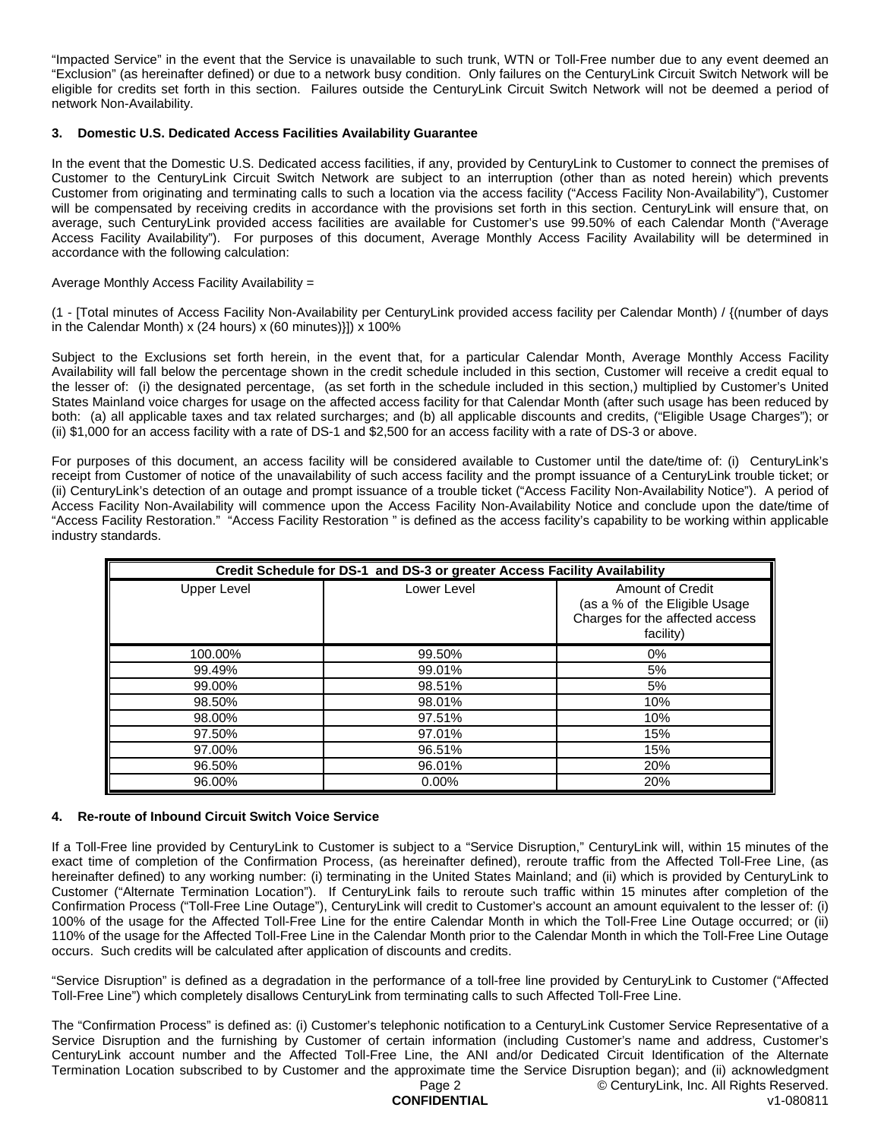"Impacted Service" in the event that the Service is unavailable to such trunk, WTN or Toll-Free number due to any event deemed an "Exclusion" (as hereinafter defined) or due to a network busy condition. Only failures on the CenturyLink Circuit Switch Network will be eligible for credits set forth in this section. Failures outside the CenturyLink Circuit Switch Network will not be deemed a period of network Non-Availability.

### **3. Domestic U.S. Dedicated Access Facilities Availability Guarantee**

In the event that the Domestic U.S. Dedicated access facilities, if any, provided by CenturyLink to Customer to connect the premises of Customer to the CenturyLink Circuit Switch Network are subject to an interruption (other than as noted herein) which prevents Customer from originating and terminating calls to such a location via the access facility ("Access Facility Non-Availability"), Customer will be compensated by receiving credits in accordance with the provisions set forth in this section. CenturyLink will ensure that, on average, such CenturyLink provided access facilities are available for Customer's use 99.50% of each Calendar Month ("Average Access Facility Availability"). For purposes of this document, Average Monthly Access Facility Availability will be determined in accordance with the following calculation:

### Average Monthly Access Facility Availability =

(1 - [Total minutes of Access Facility Non-Availability per CenturyLink provided access facility per Calendar Month) / {(number of days in the Calendar Month) x (24 hours) x (60 minutes)}]) x 100%

Subject to the Exclusions set forth herein, in the event that, for a particular Calendar Month, Average Monthly Access Facility Availability will fall below the percentage shown in the credit schedule included in this section, Customer will receive a credit equal to the lesser of: (i) the designated percentage, (as set forth in the schedule included in this section,) multiplied by Customer's United States Mainland voice charges for usage on the affected access facility for that Calendar Month (after such usage has been reduced by both: (a) all applicable taxes and tax related surcharges; and (b) all applicable discounts and credits, ("Eligible Usage Charges"); or (ii) \$1,000 for an access facility with a rate of DS-1 and \$2,500 for an access facility with a rate of DS-3 or above.

For purposes of this document, an access facility will be considered available to Customer until the date/time of: (i) CenturyLink's receipt from Customer of notice of the unavailability of such access facility and the prompt issuance of a CenturyLink trouble ticket; or (ii) CenturyLink's detection of an outage and prompt issuance of a trouble ticket ("Access Facility Non-Availability Notice"). A period of Access Facility Non-Availability will commence upon the Access Facility Non-Availability Notice and conclude upon the date/time of "Access Facility Restoration." "Access Facility Restoration " is defined as the access facility's capability to be working within applicable industry standards.

| Credit Schedule for DS-1 and DS-3 or greater Access Facility Availability |             |                                                                                                   |
|---------------------------------------------------------------------------|-------------|---------------------------------------------------------------------------------------------------|
| <b>Upper Level</b>                                                        | Lower Level | Amount of Credit<br>(as a % of the Eligible Usage<br>Charges for the affected access<br>facility) |
| 100.00%                                                                   | 99.50%      | 0%                                                                                                |
| 99.49%                                                                    | 99.01%      | 5%                                                                                                |
| 99.00%                                                                    | 98.51%      | 5%                                                                                                |
| 98.50%                                                                    | 98.01%      | 10%                                                                                               |
| 98.00%                                                                    | 97.51%      | 10%                                                                                               |
| 97.50%                                                                    | 97.01%      | 15%                                                                                               |
| 97.00%                                                                    | 96.51%      | 15%                                                                                               |
| 96.50%                                                                    | 96.01%      | 20%                                                                                               |
| 96.00%                                                                    | $0.00\%$    | 20%                                                                                               |

### **4. Re-route of Inbound Circuit Switch Voice Service**

If a Toll-Free line provided by CenturyLink to Customer is subject to a "Service Disruption," CenturyLink will, within 15 minutes of the exact time of completion of the Confirmation Process, (as hereinafter defined), reroute traffic from the Affected Toll-Free Line, (as hereinafter defined) to any working number: (i) terminating in the United States Mainland; and (ii) which is provided by CenturyLink to Customer ("Alternate Termination Location"). If CenturyLink fails to reroute such traffic within 15 minutes after completion of the Confirmation Process ("Toll-Free Line Outage"), CenturyLink will credit to Customer's account an amount equivalent to the lesser of: (i) 100% of the usage for the Affected Toll-Free Line for the entire Calendar Month in which the Toll-Free Line Outage occurred; or (ii) 110% of the usage for the Affected Toll-Free Line in the Calendar Month prior to the Calendar Month in which the Toll-Free Line Outage occurs. Such credits will be calculated after application of discounts and credits.

"Service Disruption" is defined as a degradation in the performance of a toll-free line provided by CenturyLink to Customer ("Affected Toll-Free Line") which completely disallows CenturyLink from terminating calls to such Affected Toll-Free Line.

The "Confirmation Process" is defined as: (i) Customer's telephonic notification to a CenturyLink Customer Service Representative of a Service Disruption and the furnishing by Customer of certain information (including Customer's name and address, Customer's CenturyLink account number and the Affected Toll-Free Line, the ANI and/or Dedicated Circuit Identification of the Alternate Termination Location subscribed to by Customer and the approximate time the Service Disruption began); and (ii) acknowledgment

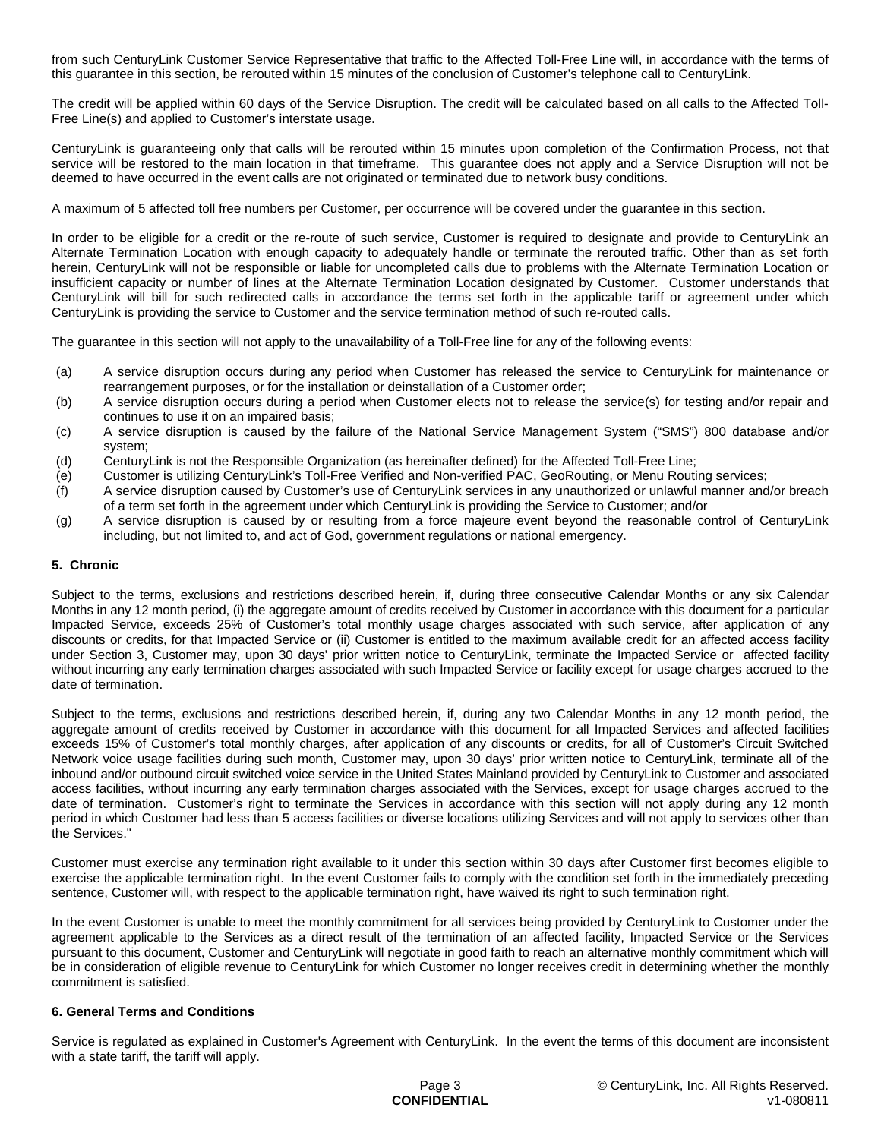from such CenturyLink Customer Service Representative that traffic to the Affected Toll-Free Line will, in accordance with the terms of this guarantee in this section, be rerouted within 15 minutes of the conclusion of Customer's telephone call to CenturyLink.

The credit will be applied within 60 days of the Service Disruption. The credit will be calculated based on all calls to the Affected Toll-Free Line(s) and applied to Customer's interstate usage.

CenturyLink is guaranteeing only that calls will be rerouted within 15 minutes upon completion of the Confirmation Process, not that service will be restored to the main location in that timeframe. This guarantee does not apply and a Service Disruption will not be deemed to have occurred in the event calls are not originated or terminated due to network busy conditions.

A maximum of 5 affected toll free numbers per Customer, per occurrence will be covered under the guarantee in this section.

In order to be eligible for a credit or the re-route of such service, Customer is required to designate and provide to CenturyLink an Alternate Termination Location with enough capacity to adequately handle or terminate the rerouted traffic. Other than as set forth herein, CenturyLink will not be responsible or liable for uncompleted calls due to problems with the Alternate Termination Location or insufficient capacity or number of lines at the Alternate Termination Location designated by Customer. Customer understands that CenturyLink will bill for such redirected calls in accordance the terms set forth in the applicable tariff or agreement under which CenturyLink is providing the service to Customer and the service termination method of such re-routed calls.

The guarantee in this section will not apply to the unavailability of a Toll-Free line for any of the following events:

- (a) A service disruption occurs during any period when Customer has released the service to CenturyLink for maintenance or rearrangement purposes, or for the installation or deinstallation of a Customer order;
- (b) A service disruption occurs during a period when Customer elects not to release the service(s) for testing and/or repair and continues to use it on an impaired basis;
- (c) A service disruption is caused by the failure of the National Service Management System ("SMS") 800 database and/or system;
- (d) CenturyLink is not the Responsible Organization (as hereinafter defined) for the Affected Toll-Free Line;
- (e) Customer is utilizing CenturyLink's Toll-Free Verified and Non-verified PAC, GeoRouting, or Menu Routing services;
- (f) A service disruption caused by Customer's use of CenturyLink services in any unauthorized or unlawful manner and/or breach of a term set forth in the agreement under which CenturyLink is providing the Service to Customer; and/or
- (g) A service disruption is caused by or resulting from a force majeure event beyond the reasonable control of CenturyLink including, but not limited to, and act of God, government regulations or national emergency.

### **5. Chronic**

Subject to the terms, exclusions and restrictions described herein, if, during three consecutive Calendar Months or any six Calendar Months in any 12 month period, (i) the aggregate amount of credits received by Customer in accordance with this document for a particular Impacted Service, exceeds 25% of Customer's total monthly usage charges associated with such service, after application of any discounts or credits, for that Impacted Service or (ii) Customer is entitled to the maximum available credit for an affected access facility under Section 3, Customer may, upon 30 days' prior written notice to CenturyLink, terminate the Impacted Service or affected facility without incurring any early termination charges associated with such Impacted Service or facility except for usage charges accrued to the date of termination.

Subject to the terms, exclusions and restrictions described herein, if, during any two Calendar Months in any 12 month period, the aggregate amount of credits received by Customer in accordance with this document for all Impacted Services and affected facilities exceeds 15% of Customer's total monthly charges, after application of any discounts or credits, for all of Customer's Circuit Switched Network voice usage facilities during such month, Customer may, upon 30 days' prior written notice to CenturyLink, terminate all of the inbound and/or outbound circuit switched voice service in the United States Mainland provided by CenturyLink to Customer and associated access facilities, without incurring any early termination charges associated with the Services, except for usage charges accrued to the date of termination. Customer's right to terminate the Services in accordance with this section will not apply during any 12 month period in which Customer had less than 5 access facilities or diverse locations utilizing Services and will not apply to services other than the Services."

Customer must exercise any termination right available to it under this section within 30 days after Customer first becomes eligible to exercise the applicable termination right. In the event Customer fails to comply with the condition set forth in the immediately preceding sentence, Customer will, with respect to the applicable termination right, have waived its right to such termination right.

In the event Customer is unable to meet the monthly commitment for all services being provided by CenturyLink to Customer under the agreement applicable to the Services as a direct result of the termination of an affected facility, Impacted Service or the Services pursuant to this document, Customer and CenturyLink will negotiate in good faith to reach an alternative monthly commitment which will be in consideration of eligible revenue to CenturyLink for which Customer no longer receives credit in determining whether the monthly commitment is satisfied.

### **6. General Terms and Conditions**

Service is regulated as explained in Customer's Agreement with CenturyLink. In the event the terms of this document are inconsistent with a state tariff, the tariff will apply.